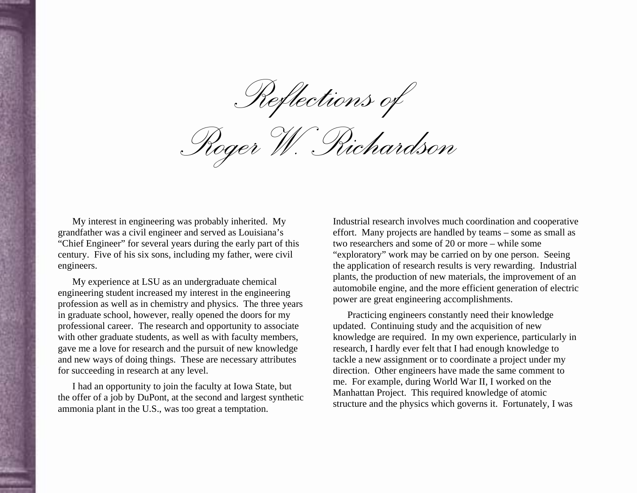*Reflections of* 

*Roger W. Richardson* 

My interest in engineering was probably inherited. My grandfather was a civil engineer and served as Louisiana's "Chief Engineer" for several years during the early part of this century. Five of his six sons, including my father, were civil engineers.

My experience at LSU as an undergraduate chemical engineering student increased my interest in the engineering profession as well as in chemistry and physics. The three years in graduate school, however, really opened the doors for my professional career. The research and opportunity to associate with other graduate students, as well as with faculty members, gave me a love for research and the pursuit of new knowledge and new ways of doing things. These are necessary attributes for succeeding in research at any level.

I had an opportunity to join the faculty at Iowa State, but the offer of a job by DuPont, at the second and largest synthetic ammonia plant in the U.S., was too great a temptation.

Industrial research involves much coordination and cooperative effort. Many projects are handled by teams – some as small as two researchers and some of 20 or more – while some "exploratory" work may be carried on by one person. Seeing the application of research results is very rewarding. Industrial plants, the production of new materials, the improvement of an automobile engine, and the more efficient generation of electric power are great engineering accomplishments.

Practicing engineers constantly need their knowledge updated. Continuing study and the acquisition of new knowledge are required. In my own experience, particularly in research, I hardly ever felt that I had enough knowledge to tackle a new assignment or to coordinate a project under my direction. Other engineers have made the same comment to me. For example, during World War II, I worked on the Manhattan Project. This required knowledge of atomic structure and the physics which governs it. Fortunately, I was